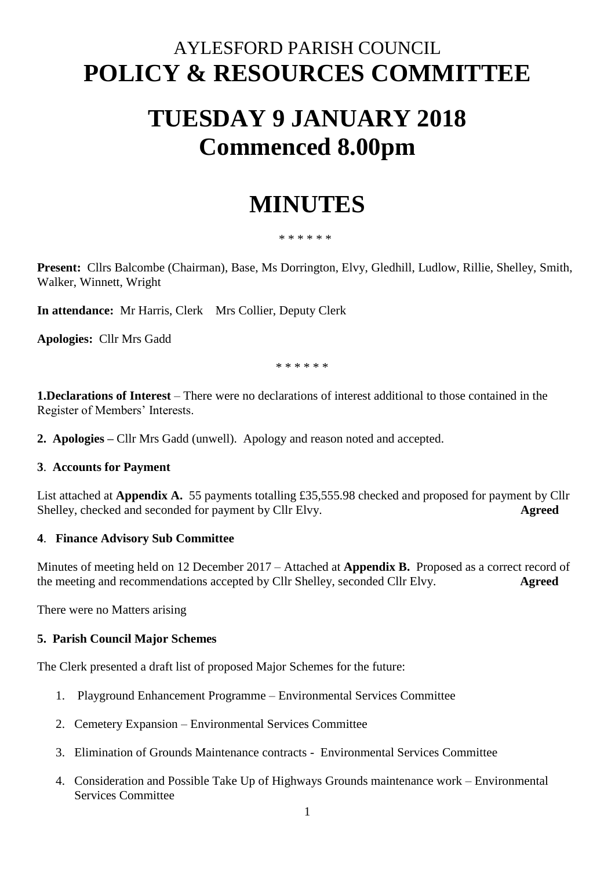# AYLESFORD PARISH COUNCIL **POLICY & RESOURCES COMMITTEE**

# **TUESDAY 9 JANUARY 2018 Commenced 8.00pm**

# **MINUTES**

#### \* \* \* \* \* \*

**Present:** Cllrs Balcombe (Chairman), Base, Ms Dorrington, Elvy, Gledhill, Ludlow, Rillie, Shelley, Smith, Walker, Winnett, Wright

**In attendance:** Mr Harris, Clerk Mrs Collier, Deputy Clerk

**Apologies:** Cllr Mrs Gadd

\* \* \* \* \* \*

**1.Declarations of Interest** – There were no declarations of interest additional to those contained in the Register of Members' Interests.

**2. Apologies –** Cllr Mrs Gadd (unwell). Apology and reason noted and accepted.

#### **3**. **Accounts for Payment**

List attached at **Appendix A.** 55 payments totalling £35,555.98 checked and proposed for payment by Cllr Shelley, checked and seconded for payment by Cllr Elvy. **Agreed**

#### **4**. **Finance Advisory Sub Committee**

Minutes of meeting held on 12 December 2017 – Attached at **Appendix B.** Proposed as a correct record of the meeting and recommendations accepted by Cllr Shelley, seconded Cllr Elvy. **Agreed**

There were no Matters arising

#### **5. Parish Council Major Schemes**

The Clerk presented a draft list of proposed Major Schemes for the future:

- 1. Playground Enhancement Programme Environmental Services Committee
- 2. Cemetery Expansion Environmental Services Committee
- 3. Elimination of Grounds Maintenance contracts Environmental Services Committee
- 4. Consideration and Possible Take Up of Highways Grounds maintenance work Environmental Services Committee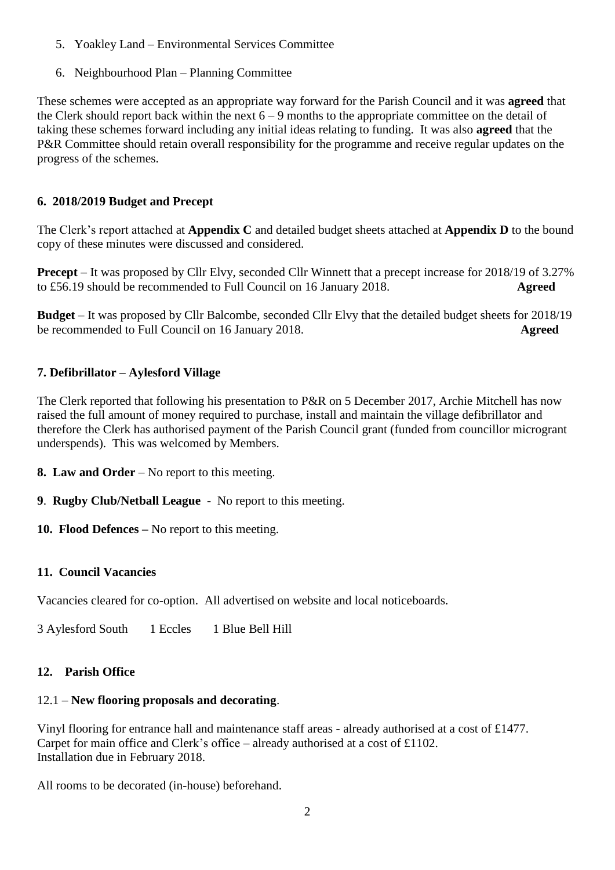- 5. Yoakley Land Environmental Services Committee
- 6. Neighbourhood Plan Planning Committee

These schemes were accepted as an appropriate way forward for the Parish Council and it was **agreed** that the Clerk should report back within the next  $6 - 9$  months to the appropriate committee on the detail of taking these schemes forward including any initial ideas relating to funding. It was also **agreed** that the P&R Committee should retain overall responsibility for the programme and receive regular updates on the progress of the schemes.

#### **6. 2018/2019 Budget and Precept**

The Clerk's report attached at **Appendix C** and detailed budget sheets attached at **Appendix D** to the bound copy of these minutes were discussed and considered.

**Precept** – It was proposed by Cllr Elvy, seconded Cllr Winnett that a precept increase for 2018/19 of 3.27% to £56.19 should be recommended to Full Council on 16 January 2018. **Agreed**

**Budget** – It was proposed by Cllr Balcombe, seconded Cllr Elvy that the detailed budget sheets for 2018/19 be recommended to Full Council on 16 January 2018. **Agreed**

### **7. Defibrillator – Aylesford Village**

The Clerk reported that following his presentation to P&R on 5 December 2017, Archie Mitchell has now raised the full amount of money required to purchase, install and maintain the village defibrillator and therefore the Clerk has authorised payment of the Parish Council grant (funded from councillor microgrant underspends). This was welcomed by Members.

- **8. Law and Order** No report to this meeting.
- **9**. **Rugby Club/Netball League** No report to this meeting.
- **10. Flood Defences –** No report to this meeting.

## **11. Council Vacancies**

Vacancies cleared for co-option. All advertised on website and local noticeboards.

3 Aylesford South 1 Eccles 1 Blue Bell Hill

#### **12. Parish Office**

#### 12.1 – **New flooring proposals and decorating**.

Vinyl flooring for entrance hall and maintenance staff areas - already authorised at a cost of £1477. Carpet for main office and Clerk's office – already authorised at a cost of £1102. Installation due in February 2018.

All rooms to be decorated (in-house) beforehand.